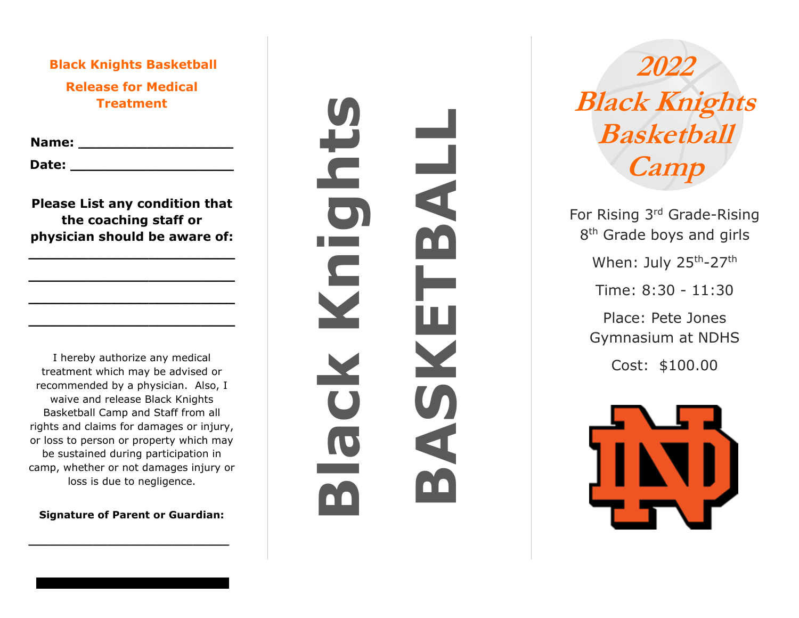**Black Knights Basketball Release for Medical Treatment**

**Name: \_\_\_\_\_\_\_\_\_\_\_\_\_\_\_\_\_\_**

**Date: \_\_\_\_\_\_\_\_\_\_\_\_\_\_\_\_\_\_\_**

**Please List any condition that the coaching staff or physician should be aware of:** 

**\_\_\_\_\_\_\_\_\_\_\_\_\_\_\_\_\_\_\_\_\_\_\_\_**

**\_\_\_\_\_\_\_\_\_\_\_\_\_\_\_\_\_\_\_\_\_\_\_\_**

**\_\_\_\_\_\_\_\_\_\_\_\_\_\_\_\_\_\_\_\_\_\_\_\_**

**\_\_\_\_\_\_\_\_\_\_\_\_\_\_\_\_\_\_\_\_\_\_\_\_**

I hereby authorize any medical treatment which may be advised or recommended by a physician. Also, I waive and release Black Knights Basketball Camp and Staff from all rights and claims for damages or injury, or loss to person or property which may be sustained during participation in camp, whether or not damages injury or loss is due to negligence.

**Signature of Parent or Guardian:**

**\_\_\_\_\_\_\_\_\_\_\_\_\_\_\_\_\_\_\_\_\_\_\_\_\_\_\_\_**

**Black Knights BASKETBALL**  $\frac{1}{4}$  $\overline{\bigcirc}$  $\overline{\mathbf{S}}$ ш X

**2022 Black Knights Basketball Camp**

For Rising 3<sup>rd</sup> Grade-Rising 8<sup>th</sup> Grade boys and girls When: July 25<sup>th</sup>-27<sup>th</sup>

Time: 8:30 - 11:30

Place: Pete Jones Gymnasium at NDHS

Cost: \$100.00